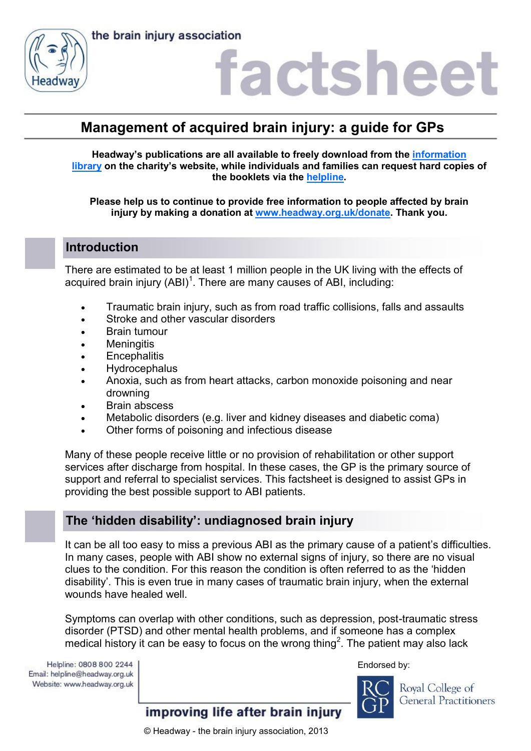the brain injury association



### factshee

### **Management of acquired brain injury: a guide for GPs**

**Headway's publications are all available to freely download from the [information](https://www.headway.org.uk/about-brain-injury/individuals/information-library/)  [library](https://www.headway.org.uk/about-brain-injury/individuals/information-library/) on the charity's website, while individuals and families can request hard copies of the booklets via the [helpline.](https://www.headway.org.uk/supporting-you/helpline/)**

**Please help us to continue to provide free information to people affected by brain injury by making a donation at [www.headway.org.uk/donate.](http://www.headway.org.uk/donate) Thank you.**

### **Introduction**

There are estimated to be at least 1 million people in the UK living with the effects of acquired brain injury  $(ABI)^1$ . There are many causes of ABI, including:

- Traumatic brain injury, such as from road traffic collisions, falls and assaults
- Stroke and other vascular disorders
- Brain tumour
- Meningitis
- **•** Encephalitis
- Hydrocephalus
- Anoxia, such as from heart attacks, carbon monoxide poisoning and near drowning
- Brain abscess
- Metabolic disorders (e.g. liver and kidney diseases and diabetic coma)
- Other forms of poisoning and infectious disease

Many of these people receive little or no provision of rehabilitation or other support services after discharge from hospital. In these cases, the GP is the primary source of support and referral to specialist services. This factsheet is designed to assist GPs in providing the best possible support to ABI patients.

### **The 'hidden disability': undiagnosed brain injury**

It can be all too easy to miss a previous ABI as the primary cause of a patient's difficulties. In many cases, people with ABI show no external signs of injury, so there are no visual clues to the condition. For this reason the condition is often referred to as the 'hidden disability'. This is even true in many cases of traumatic brain injury, when the external wounds have healed well.

Symptoms can overlap with other conditions, such as depression, post-traumatic stress disorder (PTSD) and other mental health problems, and if someone has a complex medical history it can be easy to focus on the wrong thing<sup>2</sup>. The patient may also lack

Helpline: 0808 800 2244 Email: helpline@headway.org.uk Website: www.headway.org.uk Endorsed by:



Royal College of **General Practitioners**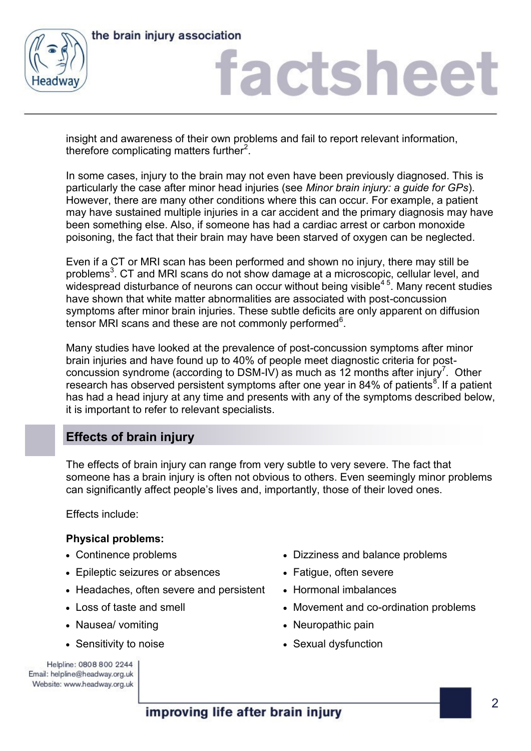



insight and awareness of their own problems and fail to report relevant information, therefore complicating matters further $2$ .

In some cases, injury to the brain may not even have been previously diagnosed. This is particularly the case after minor head injuries (see *Minor brain injury: a guide for GPs*). However, there are many other conditions where this can occur. For example, a patient may have sustained multiple injuries in a car accident and the primary diagnosis may have been something else. Also, if someone has had a cardiac arrest or carbon monoxide poisoning, the fact that their brain may have been starved of oxygen can be neglected.

Even if a CT or MRI scan has been performed and shown no injury, there may still be problems<sup>3</sup>. CT and MRI scans do not show damage at a microscopic, cellular level, and widespread disturbance of neurons can occur without being visible<sup>45</sup>. Many recent studies have shown that white matter abnormalities are associated with post-concussion symptoms after minor brain injuries. These subtle deficits are only apparent on diffusion tensor MRI scans and these are not commonly performed $6$ .

Many studies have looked at the prevalence of post-concussion symptoms after minor brain injuries and have found up to 40% of people meet diagnostic criteria for postconcussion syndrome (according to DSM-IV) as much as 12 months after injury<sup>7</sup>. Other research has observed persistent symptoms after one year in 84% of patients<sup>8</sup>. If a patient has had a head injury at any time and presents with any of the symptoms described below, it is important to refer to relevant specialists.

### **Effects of brain injury**

The effects of brain injury can range from very subtle to very severe. The fact that someone has a brain injury is often not obvious to others. Even seemingly minor problems can significantly affect people's lives and, importantly, those of their loved ones.

Effects include:

### **Physical problems:**

- 
- Epileptic seizures or absences Fatigue, often severe
- Headaches, often severe and persistent Hormonal imbalances
- 
- Nausea/ vomiting and the set of the Neuropathic pain
- 
- Continence problems **by Continuent Continuent only Diamonds** Dizziness and balance problems
	-
	-
- Loss of taste and smell **Movement and co-ordination problems** 
	-
- Sensitivity to noise **Sexual dysfunction** Sexual dysfunction

Helpline: 0808 800 2244 Email: helpline@headway.org.uk Website: www.headway.org.uk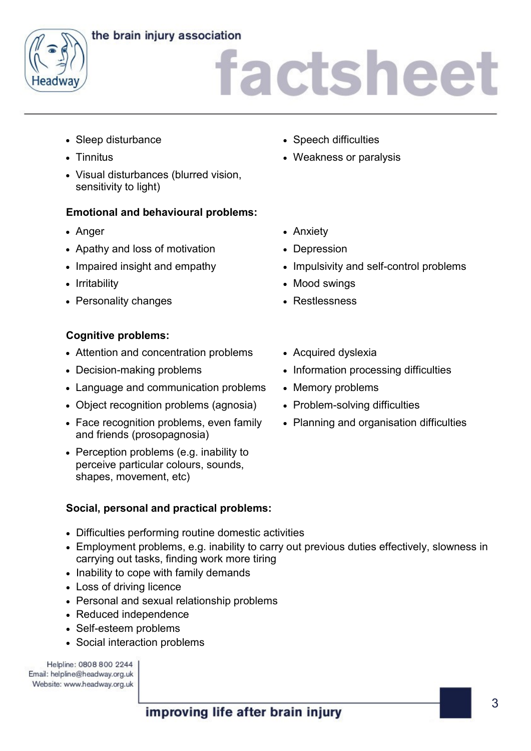### the brain injury association



# factsheet

- Sleep disturbance **Superintensity** Speech difficulties
- 
- Visual disturbances (blurred vision, sensitivity to light)

### **Emotional and behavioural problems:**

- 
- Apathy and loss of motivation Depression
- 
- 
- Personality changes **and Service Contract Contract Persons** Restlessness

### **Cognitive problems:**

- Attention and concentration problems Acquired dyslexia
- 
- Language and communication problems Memory problems
- Object recognition problems (agnosia) Problem-solving difficulties
- Face recognition problems, even family and friends (prosopagnosia)
- Perception problems (e.g. inability to perceive particular colours, sounds, shapes, movement, etc)

### **Social, personal and practical problems:**

- Difficulties performing routine domestic activities
- Employment problems, e.g. inability to carry out previous duties effectively, slowness in carrying out tasks, finding work more tiring
- Inability to cope with family demands
- Loss of driving licence
- Personal and sexual relationship problems
- Reduced independence
- Self-esteem problems
- Social interaction problems

Helpline: 0808 800 2244 Email: helpline@headway.org.uk Website: www.headway.org.uk

- 
- Tinnitus **Veakness or paralysis Weakness or paralysis**
- Anger **Angelesia Antibox Anxiety Anxiety** 
	-
- Impaired insight and empathy **•** Impulsivity and self-control problems
- Irritability **Mood swings** Mood swings
	-
	-
- Decision-making problems **Information processing difficulties** 
	-
	-
	- Planning and organisation difficulties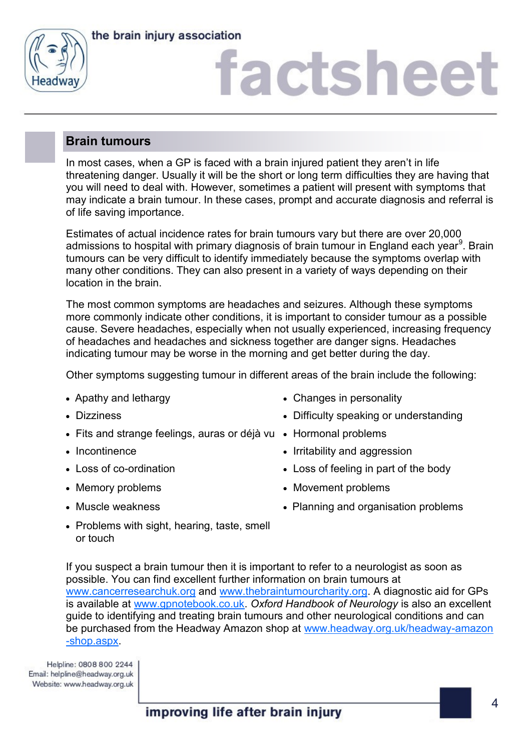



### **Brain tumours**

In most cases, when a GP is faced with a brain injured patient they aren't in life threatening danger. Usually it will be the short or long term difficulties they are having that you will need to deal with. However, sometimes a patient will present with symptoms that may indicate a brain tumour. In these cases, prompt and accurate diagnosis and referral is of life saving importance.

Estimates of actual incidence rates for brain tumours vary but there are over 20,000 admissions to hospital with primary diagnosis of brain tumour in England each year<sup>9</sup>. Brain tumours can be very difficult to identify immediately because the symptoms overlap with many other conditions. They can also present in a variety of ways depending on their location in the brain.

The most common symptoms are headaches and seizures. Although these symptoms more commonly indicate other conditions, it is important to consider tumour as a possible cause. Severe headaches, especially when not usually experienced, increasing frequency of headaches and headaches and sickness together are danger signs. Headaches indicating tumour may be worse in the morning and get better during the day.

Other symptoms suggesting tumour in different areas of the brain include the following:

- 
- 
- Fits and strange feelings, auras or déjà vu Hormonal problems
- 
- 
- 
- 
- Apathy and lethargy **Exercise 2** Changes in personality
- Dizziness **Difficulty speaking or understanding** 
	-
- Incontinence Irritability and aggression
- Loss of co-ordination **Loss** of feeling in part of the body
- Memory problems  $\bullet$  Movement problems
- Muscle weakness **Conserversity** Planning and organisation problems
- Problems with sight, hearing, taste, smell or touch

If you suspect a brain tumour then it is important to refer to a neurologist as soon as possible. You can find excellent further information on brain tumours at [www.cancerresearchuk.org](http://www.cancerresearchuk.org) and [www.thebraintumourcharity.org.](http://thebraintumourcharity.org) A diagnostic aid for GPs is available at [www.gpnotebook.co.uk.](http://www.gpnotebook.co.uk/homepage.cfm) *Oxford Handbook of Neurology* is also an excellent guide to identifying and treating brain tumours and other neurological conditions and can be purchased from the Headway Amazon shop at [www.headway.org.uk/headway-amazon](https://www.headway.org.uk/headway-amazon-shop.aspx) [-shop.aspx.](https://www.headway.org.uk/headway-amazon-shop.aspx)

Helpline: 0808 800 2244 Email: helpline@headway.org.uk Website: www.headway.org.uk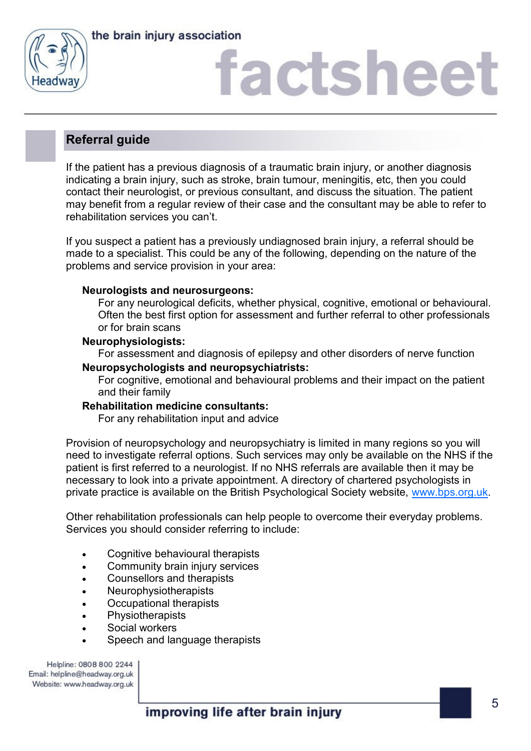



# factshee<sup>®</sup>

### **Referral guide**

If the patient has a previous diagnosis of a traumatic brain injury, or another diagnosis indicating a brain injury, such as stroke, brain tumour, meningitis, etc, then you could contact their neurologist, or previous consultant, and discuss the situation. The patient may benefit from a regular review of their case and the consultant may be able to refer to rehabilitation services you can't.

If you suspect a patient has a previously undiagnosed brain injury, a referral should be made to a specialist. This could be any of the following, depending on the nature of the problems and service provision in your area:

#### **Neurologists and neurosurgeons:**

For any neurological deficits, whether physical, cognitive, emotional or behavioural. Often the best first option for assessment and further referral to other professionals or for brain scans

#### **Neurophysiologists:**

For assessment and diagnosis of epilepsy and other disorders of nerve function

#### **Neuropsychologists and neuropsychiatrists:**

For cognitive, emotional and behavioural problems and their impact on the patient and their family

#### **Rehabilitation medicine consultants:**

For any rehabilitation input and advice

Provision of neuropsychology and neuropsychiatry is limited in many regions so you will need to investigate referral options. Such services may only be available on the NHS if the patient is first referred to a neurologist. If no NHS referrals are available then it may be necessary to look into a private appointment. A directory of chartered psychologists in private practice is available on the British Psychological Society website, [www.bps.org.uk.](http://www.bps.org.uk) 

Other rehabilitation professionals can help people to overcome their everyday problems. Services you should consider referring to include:

- Cognitive behavioural therapists
- Community brain injury services
- Counsellors and therapists
- Neurophysiotherapists
- Occupational therapists
- **Physiotherapists**
- Social workers
- Speech and language therapists

Helpline: 0808 800 2244 Email: helpline@headway.org.uk Website: www.headway.org.uk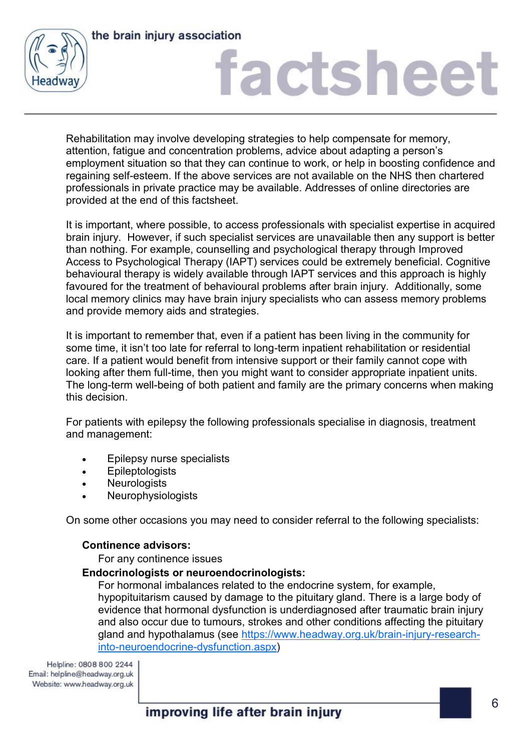



Rehabilitation may involve developing strategies to help compensate for memory, attention, fatigue and concentration problems, advice about adapting a person's employment situation so that they can continue to work, or help in boosting confidence and regaining self-esteem. If the above services are not available on the NHS then chartered professionals in private practice may be available. Addresses of online directories are provided at the end of this factsheet.

It is important, where possible, to access professionals with specialist expertise in acquired brain injury. However, if such specialist services are unavailable then any support is better than nothing. For example, counselling and psychological therapy through Improved Access to Psychological Therapy (IAPT) services could be extremely beneficial. Cognitive behavioural therapy is widely available through IAPT services and this approach is highly favoured for the treatment of behavioural problems after brain injury. Additionally, some local memory clinics may have brain injury specialists who can assess memory problems and provide memory aids and strategies.

It is important to remember that, even if a patient has been living in the community for some time, it isn't too late for referral to long-term inpatient rehabilitation or residential care. If a patient would benefit from intensive support or their family cannot cope with looking after them full-time, then you might want to consider appropriate inpatient units. The long-term well-being of both patient and family are the primary concerns when making this decision.

For patients with epilepsy the following professionals specialise in diagnosis, treatment and management:

- Epilepsy nurse specialists
- Epileptologists
- **Neurologists**
- Neurophysiologists

On some other occasions you may need to consider referral to the following specialists:

#### **Continence advisors:**

For any continence issues

#### **Endocrinologists or neuroendocrinologists:**

For hormonal imbalances related to the endocrine system, for example, hypopituitarism caused by damage to the pituitary gland. There is a large body of evidence that hormonal dysfunction is underdiagnosed after traumatic brain injury and also occur due to tumours, strokes and other conditions affecting the pituitary gland and hypothalamus (see [https://www.headway.org.uk/brain-injury-research](https://www.headway.org.uk/brain-injury-research-into-neuroendocrine-dysfunction.aspx)[into-neuroendocrine-dysfunction.aspx\)](https://www.headway.org.uk/brain-injury-research-into-neuroendocrine-dysfunction.aspx)

Helpline: 0808 800 2244 Email: helpline@headway.org.uk Website: www.headway.org.uk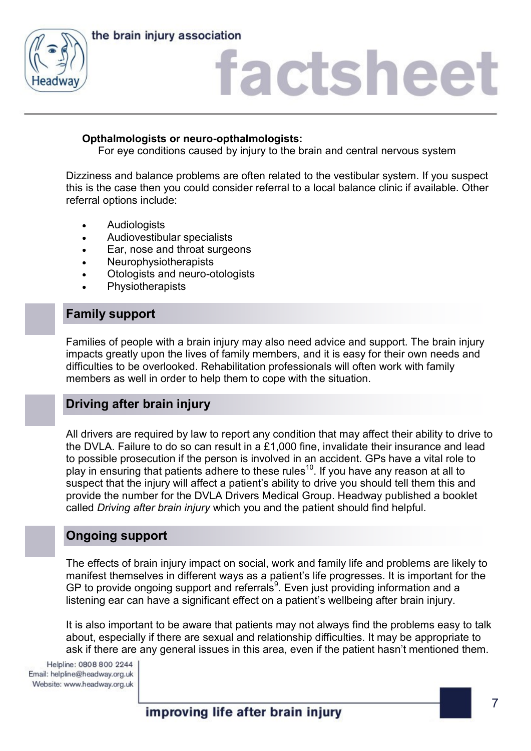



### **Opthalmologists or neuro-opthalmologists:**

For eye conditions caused by injury to the brain and central nervous system

Dizziness and balance problems are often related to the vestibular system. If you suspect this is the case then you could consider referral to a local balance clinic if available. Other referral options include:

- **Audiologists**
- Audiovestibular specialists
- Ear, nose and throat surgeons
- Neurophysiotherapists
- Otologists and neuro-otologists
- **Physiotherapists**

### **Family support**

Families of people with a brain injury may also need advice and support. The brain injury impacts greatly upon the lives of family members, and it is easy for their own needs and difficulties to be overlooked. Rehabilitation professionals will often work with family members as well in order to help them to cope with the situation.

### **Driving after brain injury**

All drivers are required by law to report any condition that may affect their ability to drive to the DVLA. Failure to do so can result in a £1,000 fine, invalidate their insurance and lead to possible prosecution if the person is involved in an accident. GPs have a vital role to play in ensuring that patients adhere to these rules<sup>10</sup>. If you have any reason at all to suspect that the injury will affect a patient's ability to drive you should tell them this and provide the number for the DVLA Drivers Medical Group. Headway published a booklet called *Driving after brain injury* which you and the patient should find helpful.

### **Ongoing support**

The effects of brain injury impact on social, work and family life and problems are likely to manifest themselves in different ways as a patient's life progresses. It is important for the GP to provide ongoing support and referrals<sup>9</sup>. Even just providing information and a listening ear can have a significant effect on a patient's wellbeing after brain injury.

It is also important to be aware that patients may not always find the problems easy to talk about, especially if there are sexual and relationship difficulties. It may be appropriate to ask if there are any general issues in this area, even if the patient hasn't mentioned them.

Helpline: 0808 800 2244 Email: helpline@headway.org.uk Website: www.headway.org.uk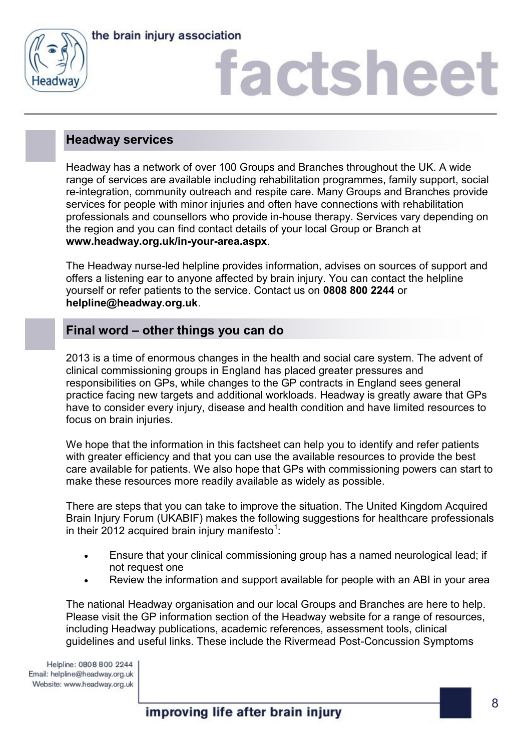



# factshee<sup>®</sup>

### **Headway services**

Headway has a network of over 100 Groups and Branches throughout the UK. A wide range of services are available including rehabilitation programmes, family support, social re-integration, community outreach and respite care. Many Groups and Branches provide services for people with minor injuries and often have connections with rehabilitation professionals and counsellors who provide in-house therapy. Services vary depending on the region and you can find contact details of your local Group or Branch at **www.headway.org.uk/in-your-area.aspx**.

The Headway nurse-led helpline provides information, advises on sources of support and offers a listening ear to anyone affected by brain injury. You can contact the helpline yourself or refer patients to the service. Contact us on **0808 800 2244** or **helpline@headway.org.uk**.

### **Final word – other things you can do**

2013 is a time of enormous changes in the health and social care system. The advent of clinical commissioning groups in England has placed greater pressures and responsibilities on GPs, while changes to the GP contracts in England sees general practice facing new targets and additional workloads. Headway is greatly aware that GPs have to consider every injury, disease and health condition and have limited resources to focus on brain injuries.

We hope that the information in this factsheet can help you to identify and refer patients with greater efficiency and that you can use the available resources to provide the best care available for patients. We also hope that GPs with commissioning powers can start to make these resources more readily available as widely as possible.

There are steps that you can take to improve the situation. The United Kingdom Acquired Brain Injury Forum (UKABIF) makes the following suggestions for healthcare professionals in their 2012 acquired brain injury manifesto<sup>1</sup>:

- Ensure that your clinical commissioning group has a named neurological lead; if not request one
- Review the information and support available for people with an ABI in your area

The national Headway organisation and our local Groups and Branches are here to help. Please visit the GP information section of the Headway website for a range of resources, including Headway publications, academic references, assessment tools, clinical guidelines and useful links. These include the Rivermead Post-Concussion Symptoms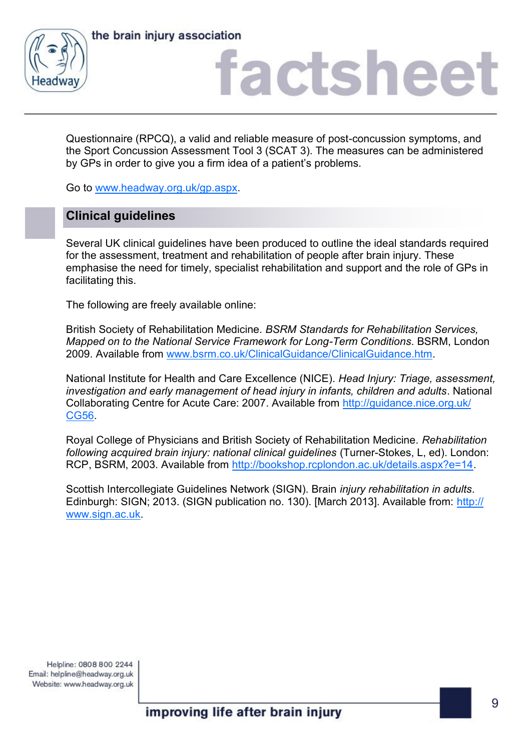



Questionnaire (RPCQ), a valid and reliable measure of post-concussion symptoms, and the Sport Concussion Assessment Tool 3 (SCAT 3). The measures can be administered by GPs in order to give you a firm idea of a patient's problems.

Go to [www.headway.org.uk/gp.aspx.](http://www.headway.org.uk/gp.aspx) 

### **Clinical guidelines**

Several UK clinical guidelines have been produced to outline the ideal standards required for the assessment, treatment and rehabilitation of people after brain injury. These emphasise the need for timely, specialist rehabilitation and support and the role of GPs in facilitating this.

The following are freely available online:

British Society of Rehabilitation Medicine. *BSRM Standards for Rehabilitation Services, Mapped on to the National Service Framework for Long-Term Conditions*. BSRM, London 2009. Available from [www.bsrm.co.uk/ClinicalGuidance/ClinicalGuidance.htm.](http://www.bsrm.co.uk/ClinicalGuidance/ClinicalGuidance.htm)

National Institute for Health and Care Excellence (NICE). *Head Injury: Triage, assessment, investigation and early management of head injury in infants, children and adults*. National Collaborating Centre for Acute Care: 2007. Available from [http://guidance.nice.org.uk/](http://guidance.nice.org.uk/CG56) [CG56.](http://guidance.nice.org.uk/CG56)

Royal College of Physicians and British Society of Rehabilitation Medicine. *Rehabilitation following acquired brain injury: national clinical guidelines* (Turner-Stokes, L, ed). London: RCP, BSRM, 2003. Available from [http://bookshop.rcplondon.ac.uk/details.aspx?e=14.](http://bookshop.rcplondon.ac.uk/details.aspx?e=14)

Scottish Intercollegiate Guidelines Network (SIGN). Brain *injury rehabilitation in adults*. Edinburgh: SIGN; 2013. (SIGN publication no. 130). [March 2013]. Available from: [http://](http://www.sign.ac.uk) www.sign.ac.uk

Helpline: 0808 800 2244 Email: helpline@headway.org.uk Website: www.headway.org.uk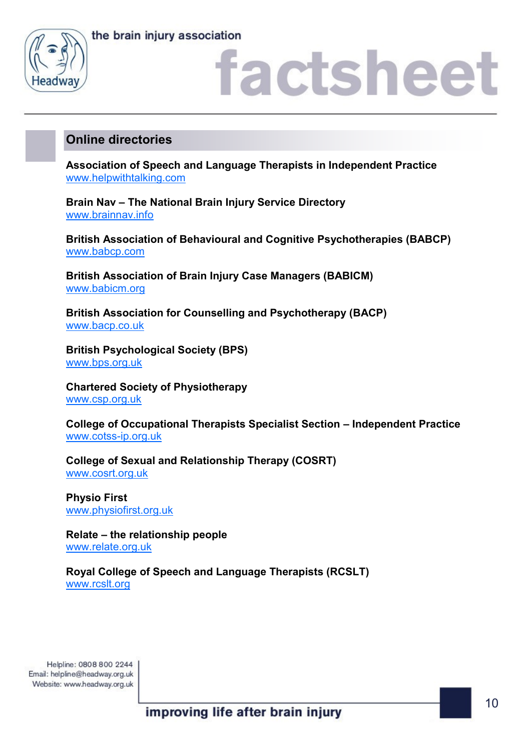



### actshee

### **Online directories**

**Association of Speech and Language Therapists in Independent Practice** [www.helpwithtalking.com](http://www.helpwithtalking.com)

**Brain Nav – The National Brain Injury Service Directory** [www.brainnav.info](http://www.brainnav.info)

**British Association of Behavioural and Cognitive Psychotherapies (BABCP)** [www.babcp.com](http://www.babcp.com)

**British Association of Brain Injury Case Managers (BABICM)** [www.babicm.org](http://www.babicm.org)

**British Association for Counselling and Psychotherapy (BACP)** [www.bacp.co.uk](http://www.bacp.co.uk)

**British Psychological Society (BPS)** [www.bps.org.uk](http://www.bps.org.uk)

**Chartered Society of Physiotherapy** [www.csp.org.uk](http://www.csp.org.uk)

**College of Occupational Therapists Specialist Section – Independent Practice** [www.cotss-ip.org.uk](http://www.cotss-ip.org.uk)

**College of Sexual and Relationship Therapy (COSRT)** [www.cosrt.org.uk](http://www.cosrt.org.uk)

**Physio First** [www.physiofirst.org.uk](http://www.physiofirst.org.uk)

**Relate – the relationship people** [www.relate.org.uk](http://www.relate.org.uk)

**Royal College of Speech and Language Therapists (RCSLT)** [www.rcslt.org](http://www.rcslt.org)